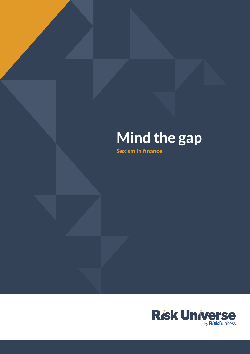# **Mind the gap**

Sexism in finance

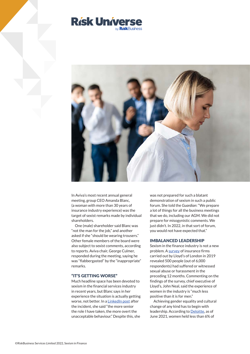



In Aviva's most recent annual general meeting, group CEO Amanda Blanc, (a woman with more than 30 years of insurance industry experience) was the target of sexist remarks made by individual shareholders.

One (male) shareholder said Blanc was "not the man for the job," and another asked if she "should be wearing trousers." Other female members of the board were also subject to sexist comments, according to reports. Aviva chair, George Culmer, responded during the meeting, saying he was "flabbergasted" by the "inappropriate" remarks.

#### "IT'S GETTING WORSE"

Much headline space has been devoted to sexism in the financial services industry in recent years, but Blanc says in her experience the situation is actually getting worse, not better. In a [LinkedIn post a](https://www.linkedin.com/feed/update/urn:li:activity:6929930550027665408/)fter the incident, she said "the more senior the role I have taken, the more overt the unacceptable behaviour." Despite this, she

was not prepared for such a blatant demonstration of sexism in such a public forum. She told the *Guardian*: "We prepare a lot of things for all the business meetings that we do, including our AGM. We did not prepare for misogynistic comments. We just didn't. In 2022, in that sort of forum, you would not have expected that."

#### IMBALANCED LEADERSHIP

Sexism in the finance industry is not a new problem. A [survey o](https://www.theguardian.com/business/2019/sep/24/survey-reveals-scale-of-sexual-harassment-at-lloyds-of-london)f insurance firms carried out by Lloyd's of London in 2019 revealed 500 people (out of 6,000 respondents) had suffered or witnessed sexual abuse or harassment in the preceding 12 months. Commenting on the findings of the survey, chief executive of Lloyd's, John Neal, said the experience of women in the industry is "much less positive than it is for men."

Achieving gender equality and cultural change of any kind has to begin with leadership. According to [Deloitte,](https://www2.deloitte.com/us/en/insights/industry/financial-services/women-in-the-finance-industry.html) as of June 2021, women held less than 6% of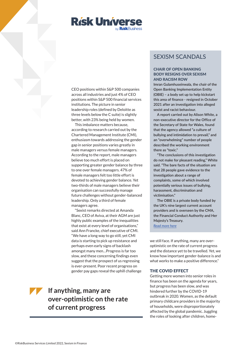

CEO positions within S&P 500 companies across all industries and just 4% of CEO positions within S&P 500 financial services institutions. The picture in senior leadership roles (defined by Deloitte as three levels below the C suite) is slightly better, with 23% being held by women.

This imbalance matters because, according to research carried out by the Chartered Management Institute (CMI), enthusiasm towards addressing the gender gap in senior positions varies greatly in male managers versus female managers. According to the report, male managers believe too much effort is placed on supporting greater gender balance by three to one over female managers. 47% of female managers felt too little effort is devoted to achieving gender balance. Yet two-thirds of male managers believe their organisation can successfully manage future challenges without gender-balanced leadership. Only a third of female managers agree.

"Sexist remarks directed at Amanda Blanc, CEO of Aviva, at their AGM are just highly public examples of the inequalities that exist at every level of organisations," said Ann Francke, chief executive of CMI. "We have a long way to go still, yet CMI data is starting to pick up resistance and perhaps even early signs of backlash amongst many men…Progress is far too slow, and these concerning findings even suggest that the prospect of us regressing is ever-present. Poor recent progress on gender pay gaps reveal the uphill challenge

# **If anything, many are over-optimistic on the rate of current progress**

## SEXISM SCANDALS

## CHAIR OF OPEN BANKING BODY RESIGNS OVER SEXISM AND RACISM ROW

**Imran Gulamhuseinwala, the chair of the Open Banking Implementation Entity (OBIE) – a body set up to help kickstart this area of finance - resigned in October 2021 after an investigation into alleged sexist and racist behaviour.** 

**A report carried out by Alison White, a non-executive director for the Office of the Secretary of State for Wales, found that the agency allowed "a culture of bullying and intimidation to prevail," and an "overwhelming" number of people described the working environment there as "toxic."** 

**"The conclusions of this investigation do not make for pleasant reading," White said. "The bare facts of the situation are that 28 people gave evidence to the investigation about a range of complaints, some of which involved potentially serious issues of bullying, harassment, discrimination and victimisation."**

**The OBIE is a private body funded by the UK's nine largest current account providers and is overseen by the CMA, the Financial Conduct Authority and Her Majesty's Treasury.**  *[Read more here](https://www.theguardian.com/business/2021/oct/01/chair-of-uk-open-banking-body-resigns-over-bullying-report)*

we still face. If anything, many are overoptimistic on the rate of current progress and the distance yet to be travelled. Yet, we know how important gender-balance is and what works to make a positive difference."

## THE COVID EFFECT

Getting more women into senior roles in finance has been on the agenda for years, but progress has been slow, and was hindered further by the COVID-19 outbreak in 2020. Women, as the default primary childcare providers in the majority of households, were disproportionately affected by the global pandemic. Juggling the roles of looking after children, home-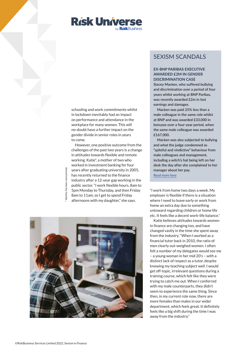

schooling and work commitments whilst in lockdown inevitably had an impact on performance and attendance in the workplace for many women. This will no-doubt have a further impact on the gender divide in senior roles in years to come.

However, one positive outcome from the challenges of the past two years is a change in attitudes towards flexible and remote working. Katie\*, a mother of two who worked in investment banking for four years after graduating university in 2005, has recently returned to the finance industry after a 12-year gap working in the public sector. "I work flexible hours, 8am to 5pm Monday to Thursday, and then Friday 8am to 11am, so I get to spend Friday afternoons with my daughter," she says.





## SEXISM SCANDALS

## EX-BNP PARIBAS EXECUTIVE AWARDED £2M IN GENDER DISCRIMINATION CASE

**Stacey Macken, who suffered bullying and discrimination over a period of four years whilst working at BNP Paribas, was recently awarded £2m in lost earnings and damages.** 

**Macken was paid 25% less than a male colleague in the same role whilst at BNP and was awarded £33,000 in bonuses over a four-year period, when the same male colleague was awarded £167,000.** 

**Macken was also subjected to bullying and what the judge condemned as "spiteful and vindictive" behaviour from male colleagues and management, including a witch's hat being left on her desk the day after she complained to her manager about her pay.**  *[Read more here](https://www.efinancialcareers.co.uk/news/2022/02/stacey-macken-bnp-paribas)*

"I work from home two days a week. My employer is flexible if there is a situation where I need to leave early or work from home an extra day due to something untoward regarding children or home life etc. It feels like a decent work-life balance."

Katie believes attitudes towards women in finance are changing too, and have changed vastly in the time she spent away from the industry. "When I worked as a financial tutor back in 2010, the ratio of men clearly out-weighed women. I often felt a number of my delegates would see me – a young woman in her mid 20's – with a distinct lack of respect as a tutor, despite knowing my teaching subject well. I would get off-topic, irrelevant questions during a training course, which felt like they were trying to catch me out. When I conferred with my male counterparts, they didn't seem to experience the same thing. Since then, in my current role now, there are more females than males in our wider department, which feels great. It definitely feels like a big shift during the time I was away from the industry."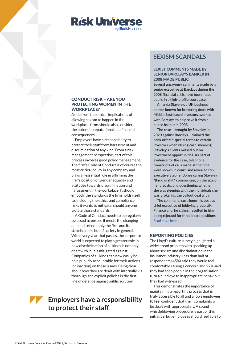

## CONDUCT RISK – ARE YOU PROTECTING WOMEN IN THE WORKPLACE?

Aside from the ethical implications of allowing sexism to happen in the workplace, firms should also consider the potential reputational and financial consequences.

Employers have a responsibility to protect their staff from harassment and discrimination of any kind. From a riskmanagement perspective, part of this process involves good policy management. The firm's Code of Conduct is of course the most critical policy in any company and plays an essential role in affirming the firm's position on gender equality and attitudes towards discrimination and harassment in the workplace. It should embody the standards the firm holds itself to, including the ethics and compliance risks it wants to mitigate, should anyone violate those standards.

A Code of Conduct needs to be regularly assessed to ensure it meets the changing demands of not only the firm and its stakeholders, but of society in general. With every year that passes, the corporate world is expected to play a greater role in how discrimination of all kinds is not only dealt with, but is mitigated against. Companies of all kinds can now easily be held publicly accountable for their actions (or inaction) on these issues. Being clear about how they are dealt with internally via thorough and explicit policies is the first line of defence against public scrutiny.

# **Employers have a responsibility to protect their staff**

## SEXISM SCANDALS

## SEXIST COMMENTS MADE BY SENIOR BARCLAY'S BANKER IN 2008 MADE PUBLIC

**Several unsavoury comments made by a senior executive at Barclays during the 2008 financial crisis have been made public in a high-profile court case.** 

**Amanda Staveley, a UK business person known for brokering deals with Middle East-based investors, worked with Barclays to help save it from a public bailout in 2008.** 

**The case – brought by Staveley in 2020 against Barclays – claimed the bank offered special terms to certain investors when raising cash, meaning Staveley's clients missed out on investment opportunities. As part of evidence for the case, telephone transcripts of calls made at the time were shown in court, and revealed top executive Stephen Jones calling Staveley "thick as shit", commenting on the size of her breasts, and questioning whether she was sleeping with the individuals she was brokering the bailout deal with.** 

**The comments cost Jones his post as chief executive of lobbying group UK Finance and, he claims, resulted in him being rejected for three board positions.** *[Read more here](https://www.thisismoney.co.uk/money/markets/article-9935563/Stephen-Jones-tells-three-banks-shunned-lewd-remarks-storm.html)*

#### REPORTING POLICIES

The Lloyd's culture survey highlighted a widespread problem with speaking up about sexism and discrimination in the insurance industry. Less than half of respondents (45%) said they would feel comfortable raising a concern and 22% said they had seen people in their organisation turn a blind eye to inappropriate behaviour they had witnessed.

This demonstrates the importance of maintaining a reporting process that is truly accessible to all and allows employees to feel confident that their complaints will be dealt with appropriately. A sound whistleblowing procedure is part of this initiative, but employees should feel able to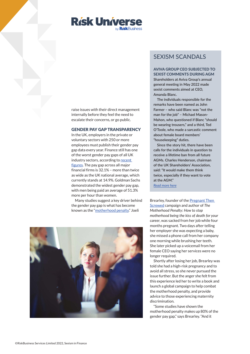

raise issues with their direct management internally before they feel the need to escalate their concerns, or go public.

#### GENDER PAY GAP TRANSPARENCY

In the UK, employers in the private or voluntary sectors with 250 or more employees must publish their gender pay gap data every year. Finance still has one of the worst gender pay gaps of all UK industry sectors, according t[o recent](https://www.reuters.com/business/sustainable-business/most-banks-narrow-uk-gender-pay-gaps-ubs-deutsche-bank-go-into-reverse-2022-04-04/)  [figures. T](https://www.reuters.com/business/sustainable-business/most-banks-narrow-uk-gender-pay-gaps-ubs-deutsche-bank-go-into-reverse-2022-04-04/)he pay gap across all major financial firms is 32.1% – more than twice as wide as the UK national average, which currently stands at 14.9%. Goldman Sachs demonstrated the widest gender pay gap, with men being paid an average of 51.3% more per hour than women.

Many studies suggest a key driver behind the gender pay gap is what has become known as the ["motherhood penalty."](https://www.weforum.org/agenda/2022/05/reduce-motherhood-penalty-gender-pay-gap/) Joeli

## SEXISM SCANDALS

AVIVA GROUP CEO SUBJECTED TO SEXIST COMMENTS DURING AGM **Shareholders at Aviva Group's annual general meeting in May 2022 made sexist comments aimed at CEO, Amanda Blanc.** 

**The individuals responsible for the remarks have been named as John Farmer – who said Blanc was "not the man for the job" – Michael Mason-Mahon, who questioned if Blanc "should be wearing trousers," and a third, Ted O'Toole, who made a sarcastic comment about female board members' "housekeeping" duties.** 

**Since the story hit, there have been calls for the individuals in question to receive a lifetime ban from all future AGMs. Charles Henderson, chairman of the UK Shareholders' Association, said: "It would make them think twice, especially if they want to vote at the AGM."**

*[Read more here](https://www.thisismoney.co.uk/money/markets/article-10830761/Calls-ban-sexist-Avia-shareholders-life-Amanda-Blanc-abuse.html)*

Brearley, founder of th[e Pregnant Then](https://pregnantthenscrewed.com)  [Screwed c](https://pregnantthenscrewed.com)ampaign and author of *The Motherhood Penalty: How to stop motherhood being the kiss of death for your career*, was sacked from her job while four months pregnant. Two days after telling her employer she was expecting a baby, she missed a phone call from her company one morning while brushing her teeth. She later picked up a voicemail from her female CEO saying her services were no longer required.

Shortly after losing her job, Brearley was told she had a high-risk pregnancy and to avoid all stress, so she never pursued the issue further. But the anger she felt from this experience led her to write a book and launch a global campaign to help combat the motherhood penalty, and provide advice to those experiencing maternity discrimination.

"Some studies have shown the motherhood penalty makes up 80% of the gender pay gap," says Brearley. "And it

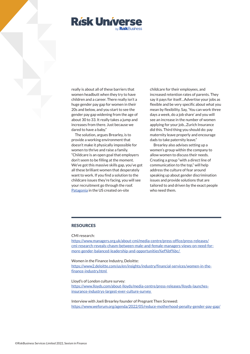

really is about all of these barriers that women headbutt when they try to have children and a career. There really isn't a huge gender pay gap for women in their 20s and below, and you start to see the gender pay gap widening from the age of about 30 to 33. It really takes a jump and increases from there. Just because we dared to have a baby."

The solution, argues Brearley, is to provide a working environment that doesn't make it physically impossible for women to thrive and raise a family. "Childcare is an open goal that employers don't seem to be filling at the moment. We've got this massive skills gap, you've got all these brilliant women that desperately want to work. If you find a solution to the childcare issues they're facing, you will see your recruitment go through the roof. [Patagonia i](https://www.patagonia.com/family-business/)n the US created on-site

childcare for their employees, and increased retention rates of parents. They say it pays for itself…Advertise your jobs as flexible and be very specific about what you mean by flexibility. Say, 'You can work three days a week, do a job share' and you will see an increase in the number of women applying for your job...Zurich Insurance did this. Third thing you should do: pay maternity leave properly and encourage dads to take paternity leave."

Brearley also advises setting up a women's group within the company to allow women to discuss their needs. Creating a group "with a direct line of communication to the top," will help address the culture of fear around speaking up about gender discrimination issues and provide solutions that are tailored to and driven by the exact people who need them.

## RESOURCES

CMI research:

https://www.managers.org.uk/about-cmi/media-centre/press-office/press-releases/ [cmi-research-reveals-chasm-between-male-and-female-managers-views-on-need-for](https://www.managers.org.uk/about-cmi/media-centre/press-office/press-releases/cmi-research-reveals-chasm-between-male-and-female-managers-views-on-need-for-more-gender-balanced-leadership-and-opportunities%EF%BF%BC/)more-gender-balanced-leadership-and-opportunities%ef%bf%bc/

Women in the Finance Industry, Deloitte:

[https://www2.deloitte.com/us/en/insights/industry/financial-services/women-in-the](https://www2.deloitte.com/us/en/insights/industry/financial-services/women-in-the-finance-industry.html)finance-industry.html

Lloyd's of London culture survey: [https://www.lloyds.com/about-lloyds/media-centre/press-releases/lloyds-launches](https://www.lloyds.com/about-lloyds/media-centre/press-releases/lloyds-launches-insurance-industrys-largest-ever-culture-survey)insurance-industrys-largest-ever-culture-survey

Interview with Joeli Brearley founder of Pregnant Then Screwed: https://www.weforum.org/agenda/2022/05/reduce-motherhood-penalty-gender-pay-gap/